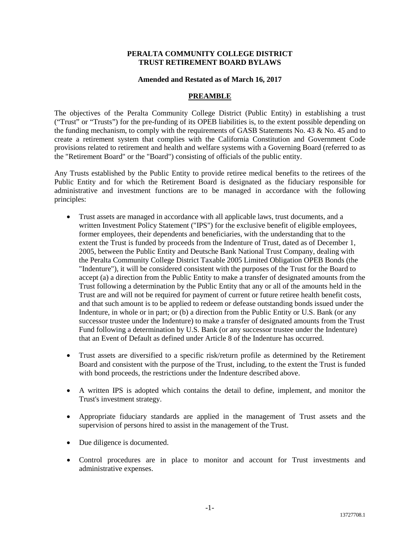#### **PERALTA COMMUNITY COLLEGE DISTRICT TRUST RETIREMENT BOARD BYLAWS**

#### **Amended and Restated as of March 16, 2017**

## **PREAMBLE**

The objectives of the Peralta Community College District (Public Entity) in establishing a trust ("Trust" or "Trusts") for the pre-funding of its OPEB liabilities is, to the extent possible depending on the funding mechanism, to comply with the requirements of GASB Statements No. 43 & No. 45 and to create a retirement system that complies with the California Constitution and Government Code provisions related to retirement and health and welfare systems with a Governing Board (referred to as the "Retirement Board" or the "Board") consisting of officials of the public entity.

Any Trusts established by the Public Entity to provide retiree medical benefits to the retirees of the Public Entity and for which the Retirement Board is designated as the fiduciary responsible for administrative and investment functions are to be managed in accordance with the following principles:

- Trust assets are managed in accordance with all applicable laws, trust documents, and a written Investment Policy Statement ("IPS") for the exclusive benefit of eligible employees, former employees, their dependents and beneficiaries, with the understanding that to the extent the Trust is funded by proceeds from the Indenture of Trust, dated as of December 1, 2005, between the Public Entity and Deutsche Bank National Trust Company, dealing with the Peralta Community College District Taxable 2005 Limited Obligation OPEB Bonds (the "Indenture"), it will be considered consistent with the purposes of the Trust for the Board to accept (a) a direction from the Public Entity to make a transfer of designated amounts from the Trust following a determination by the Public Entity that any or all of the amounts held in the Trust are and will not be required for payment of current or future retiree health benefit costs, and that such amount is to be applied to redeem or defease outstanding bonds issued under the Indenture, in whole or in part; or (b) a direction from the Public Entity or U.S. Bank (or any successor trustee under the Indenture) to make a transfer of designated amounts from the Trust Fund following a determination by U.S. Bank (or any successor trustee under the Indenture) that an Event of Default as defined under Article 8 of the Indenture has occurred.
- Trust assets are diversified to a specific risk/return profile as determined by the Retirement Board and consistent with the purpose of the Trust, including, to the extent the Trust is funded with bond proceeds, the restrictions under the Indenture described above.
- A written IPS is adopted which contains the detail to define, implement, and monitor the Trust's investment strategy.
- Appropriate fiduciary standards are applied in the management of Trust assets and the supervision of persons hired to assist in the management of the Trust.
- Due diligence is documented.
- Control procedures are in place to monitor and account for Trust investments and administrative expenses.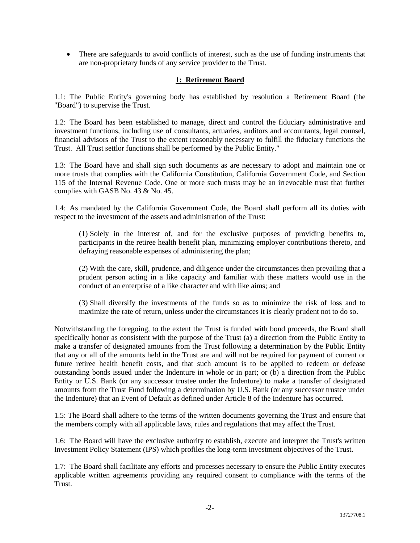• There are safeguards to avoid conflicts of interest, such as the use of funding instruments that are non-proprietary funds of any service provider to the Trust.

## **1: Retirement Board**

1.1: The Public Entity's governing body has established by resolution a Retirement Board (the "Board") to supervise the Trust.

1.2: The Board has been established to manage, direct and control the fiduciary administrative and investment functions, including use of consultants, actuaries, auditors and accountants, legal counsel, financial advisors of the Trust to the extent reasonably necessary to fulfill the fiduciary functions the Trust. All Trust settlor functions shall be performed by the Public Entity."

1.3: The Board have and shall sign such documents as are necessary to adopt and maintain one or more trusts that complies with the California Constitution, California Government Code, and Section 115 of the Internal Revenue Code. One or more such trusts may be an irrevocable trust that further complies with GASB No. 43 & No. 45.

1.4: As mandated by the California Government Code, the Board shall perform all its duties with respect to the investment of the assets and administration of the Trust:

(1) Solely in the interest of, and for the exclusive purposes of providing benefits to, participants in the retiree health benefit plan, minimizing employer contributions thereto, and defraying reasonable expenses of administering the plan;

(2) With the care, skill, prudence, and diligence under the circumstances then prevailing that a prudent person acting in a like capacity and familiar with these matters would use in the conduct of an enterprise of a like character and with like aims; and

(3) Shall diversify the investments of the funds so as to minimize the risk of loss and to maximize the rate of return, unless under the circumstances it is clearly prudent not to do so.

Notwithstanding the foregoing, to the extent the Trust is funded with bond proceeds, the Board shall specifically honor as consistent with the purpose of the Trust (a) a direction from the Public Entity to make a transfer of designated amounts from the Trust following a determination by the Public Entity that any or all of the amounts held in the Trust are and will not be required for payment of current or future retiree health benefit costs, and that such amount is to be applied to redeem or defease outstanding bonds issued under the Indenture in whole or in part; or (b) a direction from the Public Entity or U.S. Bank (or any successor trustee under the Indenture) to make a transfer of designated amounts from the Trust Fund following a determination by U.S. Bank (or any successor trustee under the Indenture) that an Event of Default as defined under Article 8 of the Indenture has occurred.

1.5: The Board shall adhere to the terms of the written documents governing the Trust and ensure that the members comply with all applicable laws, rules and regulations that may affect the Trust.

1.6: The Board will have the exclusive authority to establish, execute and interpret the Trust's written Investment Policy Statement (IPS) which profiles the long-term investment objectives of the Trust.

1.7: The Board shall facilitate any efforts and processes necessary to ensure the Public Entity executes applicable written agreements providing any required consent to compliance with the terms of the Trust.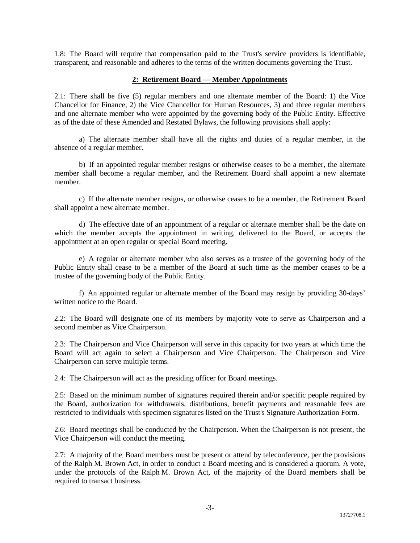1.8: The Board will require that compensation paid to the Trust's service providers is identifiable, transparent, and reasonable and adheres to the terms of the written documents governing the Trust.

### **2: Retirement Board — Member Appointments**

2.1: There shall be five (5) regular members and one alternate member of the Board: 1) the Vice Chancellor for Finance, 2) the Vice Chancellor for Human Resources, 3) and three regular members and one alternate member who were appointed by the governing body of the Public Entity. Effective as of the date of these Amended and Restated Bylaws, the following provisions shall apply:

a) The alternate member shall have all the rights and duties of a regular member, in the absence of a regular member.

b) If an appointed regular member resigns or otherwise ceases to be a member, the alternate member shall become a regular member, and the Retirement Board shall appoint a new alternate member.

c) If the alternate member resigns, or otherwise ceases to be a member, the Retirement Board shall appoint a new alternate member.

d) The effective date of an appointment of a regular or alternate member shall be the date on which the member accepts the appointment in writing, delivered to the Board, or accepts the appointment at an open regular or special Board meeting.

e) A regular or alternate member who also serves as a trustee of the governing body of the Public Entity shall cease to be a member of the Board at such time as the member ceases to be a trustee of the governing body of the Public Entity.

f) An appointed regular or alternate member of the Board may resign by providing 30-days' written notice to the Board.

2.2: The Board will designate one of its members by majority vote to serve as Chairperson and a second member as Vice Chairperson.

2.3: The Chairperson and Vice Chairperson will serve in this capacity for two years at which time the Board will act again to select a Chairperson and Vice Chairperson. The Chairperson and Vice Chairperson can serve multiple terms.

2.4: The Chairperson will act as the presiding officer for Board meetings.

2.5: Based on the minimum number of signatures required therein and/or specific people required by the Board, authorization for withdrawals, distributions, benefit payments and reasonable fees are restricted to individuals with specimen signatures listed on the Trust's Signature Authorization Form.

2.6: Board meetings shall be conducted by the Chairperson. When the Chairperson is not present, the Vice Chairperson will conduct the meeting.

2.7: A majority of the. Board members must be present or attend by teleconference, per the provisions of the Ralph M. Brown Act, in order to conduct a Board meeting and is considered a quorum. A vote, under the protocols of the Ralph M. Brown Act, of the majority of the Board members shall be required to transact business.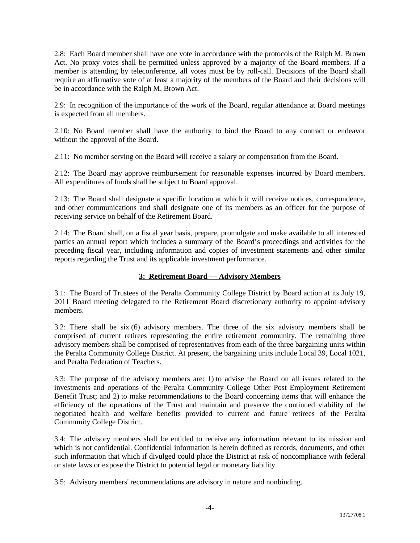2.8: Each Board member shall have one vote in accordance with the protocols of the Ralph M. Brown Act. No proxy votes shall be permitted unless approved by a majority of the Board members. If a member is attending by teleconference, all votes must be by roll-call. Decisions of the Board shall require an affirmative vote of at least a majority of the members of the Board and their decisions will be in accordance with the Ralph M. Brown Act.

2.9: In recognition of the importance of the work of the Board, regular attendance at Board meetings is expected from all members.

2.10: No Board member shall have the authority to bind the Board to any contract or endeavor without the approval of the Board.

2.11: No member serving on the Board will receive a salary or compensation from the Board.

2.12: The Board may approve reimbursement for reasonable expenses incurred by Board members. All expenditures of funds shall be subject to Board approval.

2.13: The Board shall designate a specific location at which it will receive notices, correspondence, and other communications and shall designate one of its members as an officer for the purpose of receiving service on behalf of the Retirement Board.

2.14: The Board shall, on a fiscal year basis, prepare, promulgate and make available to all interested parties an annual report which includes a summary of the Board's proceedings and activities for the preceding fiscal year, including information and copies of investment statements and other similar reports regarding the Trust and its applicable investment performance.

## **3: Retirement Board — Advisory Members**

3.1: The Board of Trustees of the Peralta Community College District by Board action at its July 19, 2011 Board meeting delegated to the Retirement Board discretionary authority to appoint advisory members.

3.2: There shall be six (6) advisory members. The three of the six advisory members shall be comprised of current retirees representing the entire retirement community. The remaining three advisory members shall be comprised of representatives from each of the three bargaining units within the Peralta Community College District. At present, the bargaining units include Local 39, Local 1021, and Peralta Federation of Teachers.

3.3: The purpose of the advisory members are: 1) to advise the Board on all issues related to the investments and operations of the Peralta Community College Other Post Employment Retirement Benefit Trust; and 2) to make recommendations to the Board concerning items that will enhance the efficiency of the operations of the Trust and maintain and preserve the continued viability of the negotiated health and welfare benefits provided to current and future retirees of the Peralta Community College District.

3.4: The advisory members shall be entitled to receive any information relevant to its mission and which is not confidential. Confidential information is herein defined as records, documents, and other such information that which if divulged could place the District at risk of noncompliance with federal or state laws or expose the District to potential legal or monetary liability.

3.5: Advisory members' recommendations are advisory in nature and nonbinding.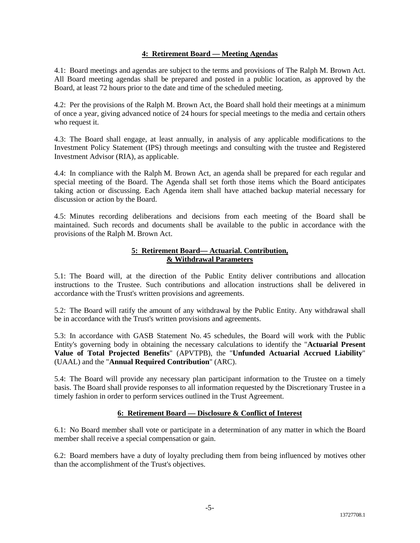## **4: Retirement Board — Meeting Agendas**

4.1: Board meetings and agendas are subject to the terms and provisions of The Ralph M. Brown Act. All Board meeting agendas shall be prepared and posted in a public location, as approved by the Board, at least 72 hours prior to the date and time of the scheduled meeting.

4.2: Per the provisions of the Ralph M. Brown Act, the Board shall hold their meetings at a minimum of once a year, giving advanced notice of 24 hours for special meetings to the media and certain others who request it.

4.3: The Board shall engage, at least annually, in analysis of any applicable modifications to the Investment Policy Statement (IPS) through meetings and consulting with the trustee and Registered Investment Advisor (RIA), as applicable.

4.4: In compliance with the Ralph M. Brown Act, an agenda shall be prepared for each regular and special meeting of the Board. The Agenda shall set forth those items which the Board anticipates taking action or discussing. Each Agenda item shall have attached backup material necessary for discussion or action by the Board.

4.5: Minutes recording deliberations and decisions from each meeting of the Board shall be maintained. Such records and documents shall be available to the public in accordance with the provisions of the Ralph M. Brown Act.

# **5: Retirement Board— Actuarial. Contribution, & Withdrawal Parameters**

5.1: The Board will, at the direction of the Public Entity deliver contributions and allocation instructions to the Trustee. Such contributions and allocation instructions shall be delivered in accordance with the Trust's written provisions and agreements.

5.2: The Board will ratify the amount of any withdrawal by the Public Entity. Any withdrawal shall be in accordance with the Trust's written provisions and agreements.

5.3: In accordance with GASB Statement No. 45 schedules, the Board will work with the Public Entity's governing body in obtaining the necessary calculations to identify the "**Actuarial Present Value of Total Projected Benefits**" (APVTPB), the "**Unfunded Actuarial Accrued Liability**" (UAAL) and the "**Annual Required Contribution**" (ARC).

5.4: The Board will provide any necessary plan participant information to the Trustee on a timely basis. The Board shall provide responses to all information requested by the Discretionary Trustee in a timely fashion in order to perform services outlined in the Trust Agreement.

# **6: Retirement Board — Disclosure & Conflict of Interest**

6.1: No Board member shall vote or participate in a determination of any matter in which the Board member shall receive a special compensation or gain.

6.2: Board members have a duty of loyalty precluding them from being influenced by motives other than the accomplishment of the Trust's objectives.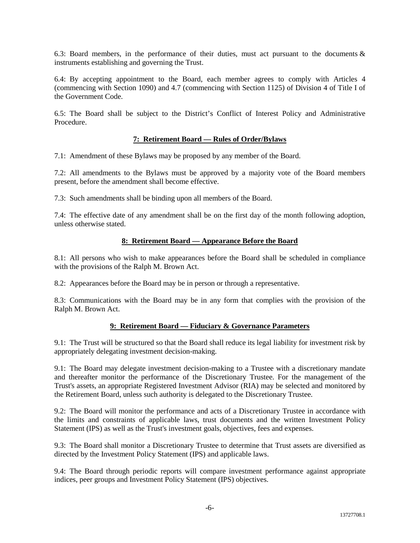6.3: Board members, in the performance of their duties, must act pursuant to the documents  $\&$ instruments establishing and governing the Trust.

6.4: By accepting appointment to the Board, each member agrees to comply with Articles 4 (commencing with Section 1090) and 4.7 (commencing with Section 1125) of Division 4 of Title I of the Government Code.

6.5: The Board shall be subject to the District's Conflict of Interest Policy and Administrative Procedure.

# **7: Retirement Board — Rules of Order/Bylaws**

7.1: Amendment of these Bylaws may be proposed by any member of the Board.

7.2: All amendments to the Bylaws must be approved by a majority vote of the Board members present, before the amendment shall become effective.

7.3: Such amendments shall be binding upon all members of the Board.

7.4: The effective date of any amendment shall be on the first day of the month following adoption, unless otherwise stated.

### **8: Retirement Board — Appearance Before the Board**

8.1: All persons who wish to make appearances before the Board shall be scheduled in compliance with the provisions of the Ralph M. Brown Act.

8.2: Appearances before the Board may be in person or through a representative.

8.3: Communications with the Board may be in any form that complies with the provision of the Ralph M. Brown Act.

### **9: Retirement Board — Fiduciary & Governance Parameters**

9.1: The Trust will be structured so that the Board shall reduce its legal liability for investment risk by appropriately delegating investment decision-making.

9.1: The Board may delegate investment decision-making to a Trustee with a discretionary mandate and thereafter monitor the performance of the Discretionary Trustee. For the management of the Trust's assets, an appropriate Registered Investment Advisor (RIA) may be selected and monitored by the Retirement Board, unless such authority is delegated to the Discretionary Trustee.

9.2: The Board will monitor the performance and acts of a Discretionary Trustee in accordance with the limits and constraints of applicable laws, trust documents and the written Investment Policy Statement (IPS) as well as the Trust's investment goals, objectives, fees and expenses.

9.3: The Board shall monitor a Discretionary Trustee to determine that Trust assets are diversified as directed by the Investment Policy Statement (IPS) and applicable laws.

9.4: The Board through periodic reports will compare investment performance against appropriate indices, peer groups and Investment Policy Statement (IPS) objectives.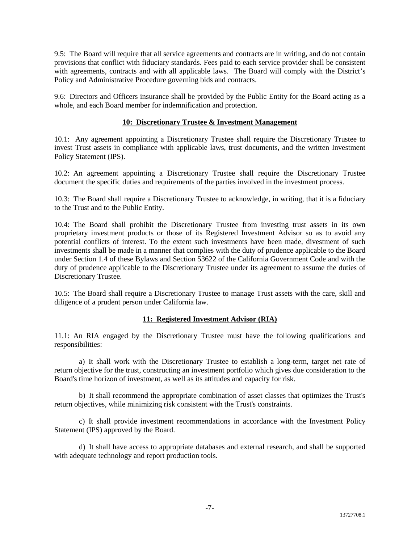9.5: The Board will require that all service agreements and contracts are in writing, and do not contain provisions that conflict with fiduciary standards. Fees paid to each service provider shall be consistent with agreements, contracts and with all applicable laws. The Board will comply with the District's Policy and Administrative Procedure governing bids and contracts.

9.6: Directors and Officers insurance shall be provided by the Public Entity for the Board acting as a whole, and each Board member for indemnification and protection.

## **10: Discretionary Trustee & Investment Management**

10.1: Any agreement appointing a Discretionary Trustee shall require the Discretionary Trustee to invest Trust assets in compliance with applicable laws, trust documents, and the written Investment Policy Statement (IPS).

10.2: An agreement appointing a Discretionary Trustee shall require the Discretionary Trustee document the specific duties and requirements of the parties involved in the investment process.

10.3: The Board shall require a Discretionary Trustee to acknowledge, in writing, that it is a fiduciary to the Trust and to the Public Entity.

10.4: The Board shall prohibit the Discretionary Trustee from investing trust assets in its own proprietary investment products or those of its Registered Investment Advisor so as to avoid any potential conflicts of interest. To the extent such investments have been made, divestment of such investments shall be made in a manner that complies with the duty of prudence applicable to the Board under Section 1.4 of these Bylaws and Section 53622 of the California Government Code and with the duty of prudence applicable to the Discretionary Trustee under its agreement to assume the duties of Discretionary Trustee.

10.5: The Board shall require a Discretionary Trustee to manage Trust assets with the care, skill and diligence of a prudent person under California law.

### **11: Registered Investment Advisor (RIA)**

11.1: An RIA engaged by the Discretionary Trustee must have the following qualifications and responsibilities:

a) It shall work with the Discretionary Trustee to establish a long-term, target net rate of return objective for the trust, constructing an investment portfolio which gives due consideration to the Board's time horizon of investment, as well as its attitudes and capacity for risk.

b) It shall recommend the appropriate combination of asset classes that optimizes the Trust's return objectives, while minimizing risk consistent with the Trust's constraints.

c) It shall provide investment recommendations in accordance with the Investment Policy Statement (IPS) approved by the Board.

d) It shall have access to appropriate databases and external research, and shall be supported with adequate technology and report production tools.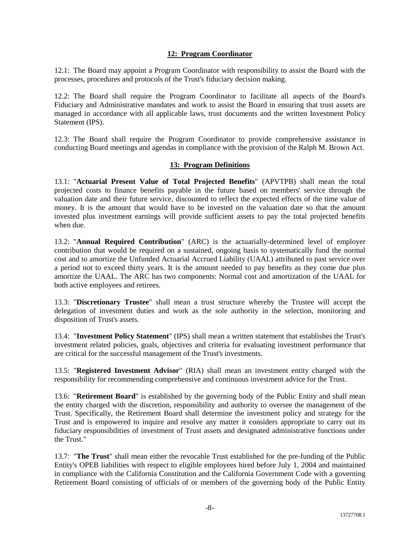## **12: Program Coordinator**

12.1: The Board may appoint a Program Coordinator with responsibility to assist the Board with the processes, procedures and protocols of the Trust's fiduciary decision making.

12.2: The Board shall require the Program Coordinator to facilitate all aspects of the Board's Fiduciary and Administrative mandates and work to assist the Board in ensuring that trust assets are managed in accordance with all applicable laws, trust documents and the written Investment Policy Statement (IPS).

12.3: The Board shall require the Program Coordinator to provide comprehensive assistance in conducting Board meetings and agendas in compliance with the provision of the Ralph M. Brown Act.

### **13: Program Definitions**

13.1: "**Actuarial Present Value of Total Projected Benefits**" (APVTPB) shall mean the total projected costs to finance benefits payable in the future based on members' service through the valuation date and their future service, discounted to reflect the expected effects of the time value of money. It is the amount that would have to be invested on the valuation date so that the amount invested plus investment earnings will provide sufficient assets to pay the total projected benefits when due.

13.2: "**Annual Required Contribution**" (ARC) is the actuarially-determined level of employer contribution that would be required on a sustained, ongoing basis to systematically fund the normal cost and to amortize the Unfunded Actuarial Accrued Liability (UAAL) attributed to past service over a period not to exceed thirty years. It is the amount needed to pay benefits as they come due plus amortize the UAAL. The ARC has two components: Normal cost and amortization of the UAAL for both active employees and retirees.

13.3: "**Discretionary Trustee**" shall mean a trust structure whereby the Trustee will accept the delegation of investment duties and work as the sole authority in the selection, monitoring and disposition of Trust's assets.

13.4: "**Investment Policy Statement**" (IPS) shall mean a written statement that establishes the Trust's investment related policies, goals, objectives and criteria for evaluating investment performance that are critical for the successful management of the Trust's investments.

13.5: "**Registered Investment Advisor**" (RIA) shall mean an investment entity charged with the responsibility for recommending comprehensive and continuous investment advice for the Trust.

13.6: "**Retirement Board**" is established by the governing body of the Public Entity and shall mean the entity charged with the discretion, responsibility and authority to oversee the management of the Trust. Specifically, the Retirement Board shall determine the investment policy and strategy for the Trust and is empowered to inquire and resolve any matter it considers appropriate to carry out its fiduciary responsibilities of investment of Trust assets and designated administrative functions under the Trust."

13.7: "**The Trust**" shall mean either the revocable Trust established for the pre-funding of the Public Entity's OPEB liabilities with respect to eligible employees hired before July 1, 2004 and maintained in compliance with the California Constitution and the California Government Code with a governing Retirement Board consisting of officials of or members of the governing body of the Public Entity